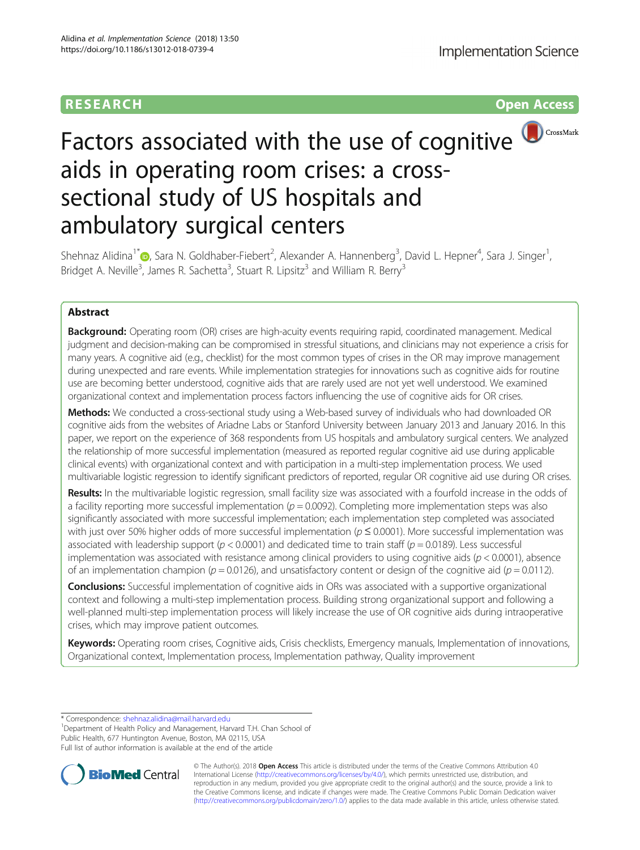# **RESEARCH CHINESE ARCH CHINESE ARCHITECT ARCHITECT ARCHITECT ARCHITECT ARCHITECT ARCHITECT ARCHITECT ARCHITECT ARCHITECT ARCHITECT ARCHITECT ARCHITECT ARCHITECT ARCHITECT ARCHITECT ARCHITECT ARCHITECT ARCHITECT ARCHITE**



# Factors associated with the use of cognitive **OCCOSSMark** aids in operating room crises: a crosssectional study of US hospitals and ambulatory surgical centers

Shehnaz Alidina<sup>1[\\*](http://orcid.org/0000-0002-4403-7871)</sup>�, Sara N. Goldhaber-Fiebert<sup>2</sup>, Alexander A. Hannenberg<sup>3</sup>, David L. Hepner<sup>4</sup>, Sara J. Singer<sup>1</sup> , Bridget A. Neville<sup>3</sup>, James R. Sachetta<sup>3</sup>, Stuart R. Lipsitz<sup>3</sup> and William R. Berry<sup>3</sup>

# Abstract

Background: Operating room (OR) crises are high-acuity events requiring rapid, coordinated management. Medical judgment and decision-making can be compromised in stressful situations, and clinicians may not experience a crisis for many years. A cognitive aid (e.g., checklist) for the most common types of crises in the OR may improve management during unexpected and rare events. While implementation strategies for innovations such as cognitive aids for routine use are becoming better understood, cognitive aids that are rarely used are not yet well understood. We examined organizational context and implementation process factors influencing the use of cognitive aids for OR crises.

Methods: We conducted a cross-sectional study using a Web-based survey of individuals who had downloaded OR cognitive aids from the websites of Ariadne Labs or Stanford University between January 2013 and January 2016. In this paper, we report on the experience of 368 respondents from US hospitals and ambulatory surgical centers. We analyzed the relationship of more successful implementation (measured as reported regular cognitive aid use during applicable clinical events) with organizational context and with participation in a multi-step implementation process. We used multivariable logistic regression to identify significant predictors of reported, regular OR cognitive aid use during OR crises.

Results: In the multivariable logistic regression, small facility size was associated with a fourfold increase in the odds of a facility reporting more successful implementation ( $p = 0.0092$ ). Completing more implementation steps was also significantly associated with more successful implementation; each implementation step completed was associated with just over 50% higher odds of more successful implementation ( $p \le 0.0001$ ). More successful implementation was associated with leadership support ( $p < 0.0001$ ) and dedicated time to train staff ( $p = 0.0189$ ). Less successful implementation was associated with resistance among clinical providers to using cognitive aids ( $p < 0.0001$ ), absence of an implementation champion ( $p = 0.0126$ ), and unsatisfactory content or design of the cognitive aid ( $p = 0.0112$ ).

Conclusions: Successful implementation of cognitive aids in ORs was associated with a supportive organizational context and following a multi-step implementation process. Building strong organizational support and following a well-planned multi-step implementation process will likely increase the use of OR cognitive aids during intraoperative crises, which may improve patient outcomes.

Keywords: Operating room crises, Cognitive aids, Crisis checklists, Emergency manuals, Implementation of innovations, Organizational context, Implementation process, Implementation pathway, Quality improvement

\* Correspondence: [shehnaz.alidina@mail.harvard.edu](mailto:shehnaz.alidina@mail.harvard.edu) <sup>1</sup>

<sup>1</sup>Department of Health Policy and Management, Harvard T.H. Chan School of Public Health, 677 Huntington Avenue, Boston, MA 02115, USA Full list of author information is available at the end of the article



© The Author(s). 2018 Open Access This article is distributed under the terms of the Creative Commons Attribution 4.0 International License [\(http://creativecommons.org/licenses/by/4.0/](http://creativecommons.org/licenses/by/4.0/)), which permits unrestricted use, distribution, and reproduction in any medium, provided you give appropriate credit to the original author(s) and the source, provide a link to the Creative Commons license, and indicate if changes were made. The Creative Commons Public Domain Dedication waiver [\(http://creativecommons.org/publicdomain/zero/1.0/](http://creativecommons.org/publicdomain/zero/1.0/)) applies to the data made available in this article, unless otherwise stated.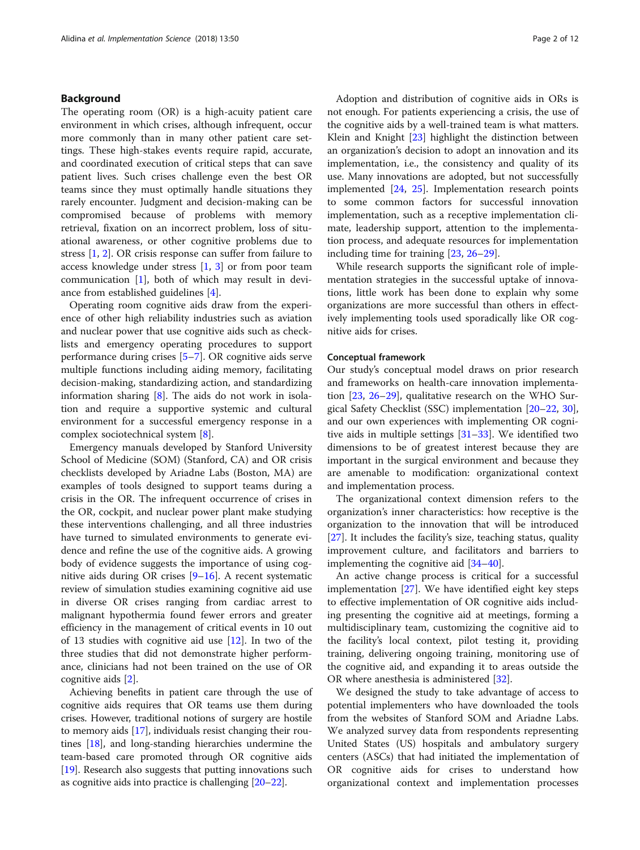# Background

The operating room (OR) is a high-acuity patient care environment in which crises, although infrequent, occur more commonly than in many other patient care settings. These high-stakes events require rapid, accurate, and coordinated execution of critical steps that can save patient lives. Such crises challenge even the best OR teams since they must optimally handle situations they rarely encounter. Judgment and decision-making can be compromised because of problems with memory retrieval, fixation on an incorrect problem, loss of situational awareness, or other cognitive problems due to stress [\[1](#page-11-0), [2](#page-11-0)]. OR crisis response can suffer from failure to access knowledge under stress [[1](#page-11-0), [3](#page-11-0)] or from poor team communication [[1\]](#page-11-0), both of which may result in deviance from established guidelines [[4\]](#page-11-0).

Operating room cognitive aids draw from the experience of other high reliability industries such as aviation and nuclear power that use cognitive aids such as checklists and emergency operating procedures to support performance during crises [\[5](#page-11-0)–[7\]](#page-11-0). OR cognitive aids serve multiple functions including aiding memory, facilitating decision-making, standardizing action, and standardizing information sharing  $[8]$ . The aids do not work in isolation and require a supportive systemic and cultural environment for a successful emergency response in a complex sociotechnical system [[8\]](#page-11-0).

Emergency manuals developed by Stanford University School of Medicine (SOM) (Stanford, CA) and OR crisis checklists developed by Ariadne Labs (Boston, MA) are examples of tools designed to support teams during a crisis in the OR. The infrequent occurrence of crises in the OR, cockpit, and nuclear power plant make studying these interventions challenging, and all three industries have turned to simulated environments to generate evidence and refine the use of the cognitive aids. A growing body of evidence suggests the importance of using cognitive aids during OR crises [\[9](#page-11-0)–[16\]](#page-11-0). A recent systematic review of simulation studies examining cognitive aid use in diverse OR crises ranging from cardiac arrest to malignant hypothermia found fewer errors and greater efficiency in the management of critical events in 10 out of 13 studies with cognitive aid use [[12](#page-11-0)]. In two of the three studies that did not demonstrate higher performance, clinicians had not been trained on the use of OR cognitive aids [\[2](#page-11-0)].

Achieving benefits in patient care through the use of cognitive aids requires that OR teams use them during crises. However, traditional notions of surgery are hostile to memory aids [\[17](#page-11-0)], individuals resist changing their routines [\[18\]](#page-11-0), and long-standing hierarchies undermine the team-based care promoted through OR cognitive aids [[19](#page-11-0)]. Research also suggests that putting innovations such as cognitive aids into practice is challenging [\[20](#page-11-0)–[22](#page-11-0)].

Adoption and distribution of cognitive aids in ORs is not enough. For patients experiencing a crisis, the use of the cognitive aids by a well-trained team is what matters. Klein and Knight [[23\]](#page-11-0) highlight the distinction between an organization's decision to adopt an innovation and its implementation, i.e., the consistency and quality of its use. Many innovations are adopted, but not successfully implemented [[24](#page-11-0), [25](#page-11-0)]. Implementation research points to some common factors for successful innovation implementation, such as a receptive implementation climate, leadership support, attention to the implementation process, and adequate resources for implementation including time for training [[23,](#page-11-0) [26](#page-11-0)–[29](#page-11-0)].

While research supports the significant role of implementation strategies in the successful uptake of innovations, little work has been done to explain why some organizations are more successful than others in effectively implementing tools used sporadically like OR cognitive aids for crises.

## Conceptual framework

Our study's conceptual model draws on prior research and frameworks on health-care innovation implementation [[23,](#page-11-0) [26](#page-11-0)–[29](#page-11-0)], qualitative research on the WHO Surgical Safety Checklist (SSC) implementation [\[20](#page-11-0)–[22](#page-11-0), [30](#page-11-0)], and our own experiences with implementing OR cognitive aids in multiple settings [\[31](#page-11-0)–[33\]](#page-11-0). We identified two dimensions to be of greatest interest because they are important in the surgical environment and because they are amenable to modification: organizational context and implementation process.

The organizational context dimension refers to the organization's inner characteristics: how receptive is the organization to the innovation that will be introduced [[27\]](#page-11-0). It includes the facility's size, teaching status, quality improvement culture, and facilitators and barriers to implementing the cognitive aid [\[34](#page-11-0)–[40\]](#page-11-0).

An active change process is critical for a successful implementation [\[27](#page-11-0)]. We have identified eight key steps to effective implementation of OR cognitive aids including presenting the cognitive aid at meetings, forming a multidisciplinary team, customizing the cognitive aid to the facility's local context, pilot testing it, providing training, delivering ongoing training, monitoring use of the cognitive aid, and expanding it to areas outside the OR where anesthesia is administered [[32\]](#page-11-0).

We designed the study to take advantage of access to potential implementers who have downloaded the tools from the websites of Stanford SOM and Ariadne Labs. We analyzed survey data from respondents representing United States (US) hospitals and ambulatory surgery centers (ASCs) that had initiated the implementation of OR cognitive aids for crises to understand how organizational context and implementation processes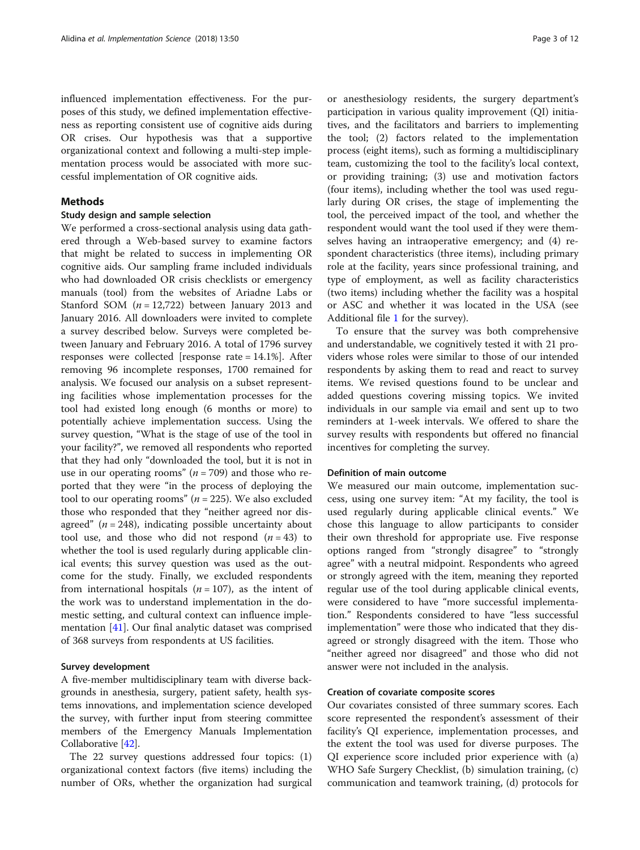influenced implementation effectiveness. For the purposes of this study, we defined implementation effectiveness as reporting consistent use of cognitive aids during OR crises. Our hypothesis was that a supportive organizational context and following a multi-step implementation process would be associated with more successful implementation of OR cognitive aids.

#### Methods

# Study design and sample selection

We performed a cross-sectional analysis using data gathered through a Web-based survey to examine factors that might be related to success in implementing OR cognitive aids. Our sampling frame included individuals who had downloaded OR crisis checklists or emergency manuals (tool) from the websites of Ariadne Labs or Stanford SOM  $(n = 12,722)$  between January 2013 and January 2016. All downloaders were invited to complete a survey described below. Surveys were completed between January and February 2016. A total of 1796 survey responses were collected [response rate = 14.1%]. After removing 96 incomplete responses, 1700 remained for analysis. We focused our analysis on a subset representing facilities whose implementation processes for the tool had existed long enough (6 months or more) to potentially achieve implementation success. Using the survey question, "What is the stage of use of the tool in your facility?", we removed all respondents who reported that they had only "downloaded the tool, but it is not in use in our operating rooms" ( $n = 709$ ) and those who reported that they were "in the process of deploying the tool to our operating rooms" ( $n = 225$ ). We also excluded those who responded that they "neither agreed nor disagreed" ( $n = 248$ ), indicating possible uncertainty about tool use, and those who did not respond  $(n = 43)$  to whether the tool is used regularly during applicable clinical events; this survey question was used as the outcome for the study. Finally, we excluded respondents from international hospitals  $(n = 107)$ , as the intent of the work was to understand implementation in the domestic setting, and cultural context can influence implementation [[41\]](#page-11-0). Our final analytic dataset was comprised of 368 surveys from respondents at US facilities.

#### Survey development

A five-member multidisciplinary team with diverse backgrounds in anesthesia, surgery, patient safety, health systems innovations, and implementation science developed the survey, with further input from steering committee members of the Emergency Manuals Implementation Collaborative [\[42](#page-11-0)].

The 22 survey questions addressed four topics: (1) organizational context factors (five items) including the number of ORs, whether the organization had surgical

or anesthesiology residents, the surgery department's participation in various quality improvement (QI) initiatives, and the facilitators and barriers to implementing the tool; (2) factors related to the implementation process (eight items), such as forming a multidisciplinary team, customizing the tool to the facility's local context, or providing training; (3) use and motivation factors (four items), including whether the tool was used regularly during OR crises, the stage of implementing the tool, the perceived impact of the tool, and whether the respondent would want the tool used if they were themselves having an intraoperative emergency; and (4) respondent characteristics (three items), including primary role at the facility, years since professional training, and type of employment, as well as facility characteristics (two items) including whether the facility was a hospital or ASC and whether it was located in the USA (see Additional file [1](#page-10-0) for the survey).

To ensure that the survey was both comprehensive and understandable, we cognitively tested it with 21 providers whose roles were similar to those of our intended respondents by asking them to read and react to survey items. We revised questions found to be unclear and added questions covering missing topics. We invited individuals in our sample via email and sent up to two reminders at 1-week intervals. We offered to share the survey results with respondents but offered no financial incentives for completing the survey.

#### Definition of main outcome

We measured our main outcome, implementation success, using one survey item: "At my facility, the tool is used regularly during applicable clinical events." We chose this language to allow participants to consider their own threshold for appropriate use. Five response options ranged from "strongly disagree" to "strongly agree" with a neutral midpoint. Respondents who agreed or strongly agreed with the item, meaning they reported regular use of the tool during applicable clinical events, were considered to have "more successful implementation." Respondents considered to have "less successful implementation" were those who indicated that they disagreed or strongly disagreed with the item. Those who "neither agreed nor disagreed" and those who did not answer were not included in the analysis.

#### Creation of covariate composite scores

Our covariates consisted of three summary scores. Each score represented the respondent's assessment of their facility's QI experience, implementation processes, and the extent the tool was used for diverse purposes. The QI experience score included prior experience with (a) WHO Safe Surgery Checklist, (b) simulation training, (c) communication and teamwork training, (d) protocols for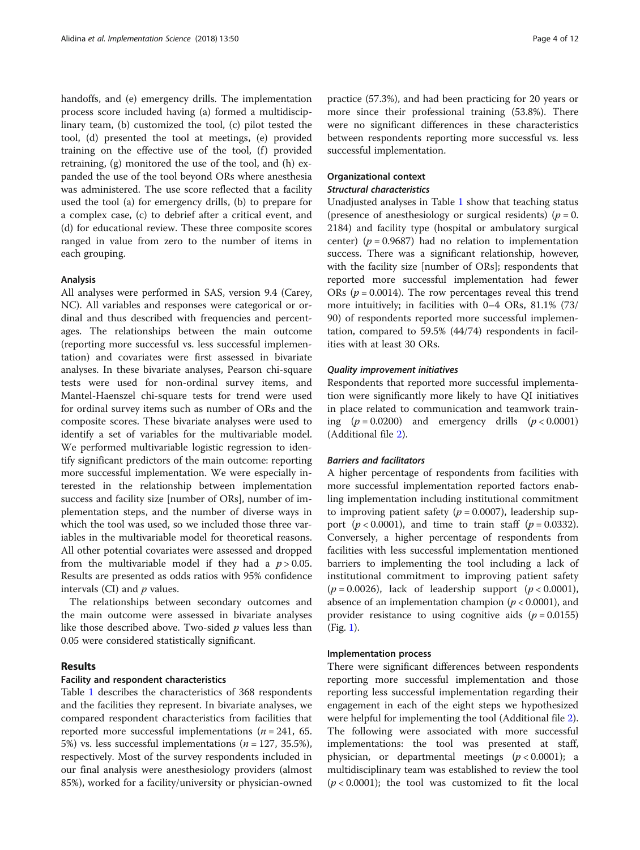handoffs, and (e) emergency drills. The implementation process score included having (a) formed a multidisciplinary team, (b) customized the tool, (c) pilot tested the tool, (d) presented the tool at meetings, (e) provided training on the effective use of the tool, (f) provided retraining, (g) monitored the use of the tool, and (h) expanded the use of the tool beyond ORs where anesthesia was administered. The use score reflected that a facility used the tool (a) for emergency drills, (b) to prepare for a complex case, (c) to debrief after a critical event, and (d) for educational review. These three composite scores ranged in value from zero to the number of items in each grouping.

#### Analysis

All analyses were performed in SAS, version 9.4 (Carey, NC). All variables and responses were categorical or ordinal and thus described with frequencies and percentages. The relationships between the main outcome (reporting more successful vs. less successful implementation) and covariates were first assessed in bivariate analyses. In these bivariate analyses, Pearson chi-square tests were used for non-ordinal survey items, and Mantel-Haenszel chi-square tests for trend were used for ordinal survey items such as number of ORs and the composite scores. These bivariate analyses were used to identify a set of variables for the multivariable model. We performed multivariable logistic regression to identify significant predictors of the main outcome: reporting more successful implementation. We were especially interested in the relationship between implementation success and facility size [number of ORs], number of implementation steps, and the number of diverse ways in which the tool was used, so we included those three variables in the multivariable model for theoretical reasons. All other potential covariates were assessed and dropped from the multivariable model if they had a  $p > 0.05$ . Results are presented as odds ratios with 95% confidence intervals  $(Cl)$  and  $p$  values.

The relationships between secondary outcomes and the main outcome were assessed in bivariate analyses like those described above. Two-sided  $p$  values less than 0.05 were considered statistically significant.

# Results

## Facility and respondent characteristics

Table [1](#page-4-0) describes the characteristics of 368 respondents and the facilities they represent. In bivariate analyses, we compared respondent characteristics from facilities that reported more successful implementations ( $n = 241, 65$ . 5%) vs. less successful implementations ( $n = 127, 35.5\%$ ), respectively. Most of the survey respondents included in our final analysis were anesthesiology providers (almost 85%), worked for a facility/university or physician-owned

practice (57.3%), and had been practicing for 20 years or more since their professional training (53.8%). There were no significant differences in these characteristics between respondents reporting more successful vs. less successful implementation.

# Organizational context

#### Structural characteristics

Unadjusted analyses in Table [1](#page-4-0) show that teaching status (presence of anesthesiology or surgical residents) ( $p = 0$ . 2184) and facility type (hospital or ambulatory surgical center) ( $p = 0.9687$ ) had no relation to implementation success. There was a significant relationship, however, with the facility size [number of ORs]; respondents that reported more successful implementation had fewer ORs ( $p = 0.0014$ ). The row percentages reveal this trend more intuitively; in facilities with 0–4 ORs, 81.1% (73/ 90) of respondents reported more successful implementation, compared to 59.5% (44/74) respondents in facilities with at least 30 ORs.

#### Quality improvement initiatives

Respondents that reported more successful implementation were significantly more likely to have QI initiatives in place related to communication and teamwork training  $(p = 0.0200)$  and emergency drills  $(p < 0.0001)$ (Additional file [2](#page-10-0)).

#### Barriers and facilitators

A higher percentage of respondents from facilities with more successful implementation reported factors enabling implementation including institutional commitment to improving patient safety ( $p = 0.0007$ ), leadership support ( $p < 0.0001$ ), and time to train staff ( $p = 0.0332$ ). Conversely, a higher percentage of respondents from facilities with less successful implementation mentioned barriers to implementing the tool including a lack of institutional commitment to improving patient safety  $(p = 0.0026)$ , lack of leadership support  $(p < 0.0001)$ , absence of an implementation champion ( $p < 0.0001$ ), and provider resistance to using cognitive aids  $(p = 0.0155)$ (Fig. [1](#page-5-0)).

#### Implementation process

There were significant differences between respondents reporting more successful implementation and those reporting less successful implementation regarding their engagement in each of the eight steps we hypothesized were helpful for implementing the tool (Additional file [2](#page-10-0)). The following were associated with more successful implementations: the tool was presented at staff, physician, or departmental meetings  $(p < 0.0001)$ ; a multidisciplinary team was established to review the tool  $(p < 0.0001)$ ; the tool was customized to fit the local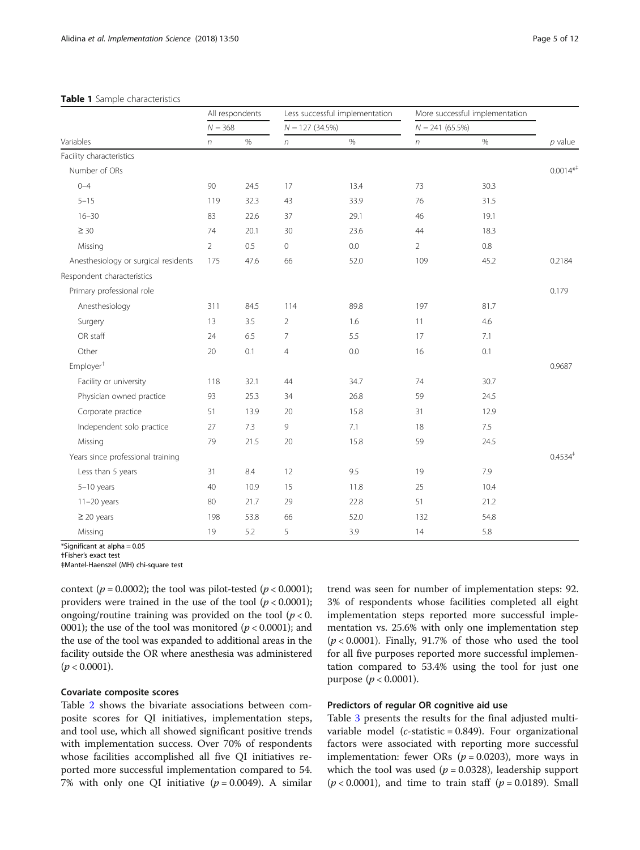| Variables                            | All respondents<br>$N = 368$ |      | Less successful implementation<br>$N = 127(34.5%)$ |      | More successful implementation<br>$N = 241(65.5%)$ |      |                     |
|--------------------------------------|------------------------------|------|----------------------------------------------------|------|----------------------------------------------------|------|---------------------|
|                                      |                              |      |                                                    |      |                                                    |      |                     |
|                                      | Facility characteristics     |      |                                                    |      |                                                    |      |                     |
| Number of ORs                        |                              |      |                                                    |      |                                                    |      | $0.0014**$          |
| $0 - 4$                              | 90                           | 24.5 | 17                                                 | 13.4 | 73                                                 | 30.3 |                     |
| $5 - 15$                             | 119                          | 32.3 | 43                                                 | 33.9 | 76                                                 | 31.5 |                     |
| $16 - 30$                            | 83                           | 22.6 | 37                                                 | 29.1 | 46                                                 | 19.1 |                     |
| $\geq 30$                            | 74                           | 20.1 | 30                                                 | 23.6 | 44                                                 | 18.3 |                     |
| Missing                              | $\overline{2}$               | 0.5  | $\mathbb O$                                        | 0.0  | $\overline{2}$                                     | 0.8  |                     |
| Anesthesiology or surgical residents | 175                          | 47.6 | 66                                                 | 52.0 | 109                                                | 45.2 | 0.2184              |
| Respondent characteristics           |                              |      |                                                    |      |                                                    |      |                     |
| Primary professional role            |                              |      |                                                    |      |                                                    |      | 0.179               |
| Anesthesiology                       | 311                          | 84.5 | 114                                                | 89.8 | 197                                                | 81.7 |                     |
| Surgery                              | 13                           | 3.5  | $\overline{2}$                                     | 1.6  | 11                                                 | 4.6  |                     |
| OR staff                             | 24                           | 6.5  | $\overline{7}$                                     | 5.5  | 17                                                 | 7.1  |                     |
| Other                                | 20                           | 0.1  | $\overline{4}$                                     | 0.0  | 16                                                 | 0.1  |                     |
| $Employer$ <sup>+</sup>              |                              |      |                                                    |      |                                                    |      | 0.9687              |
| Facility or university               | 118                          | 32.1 | 44                                                 | 34.7 | 74                                                 | 30.7 |                     |
| Physician owned practice             | 93                           | 25.3 | 34                                                 | 26.8 | 59                                                 | 24.5 |                     |
| Corporate practice                   | 51                           | 13.9 | 20                                                 | 15.8 | 31                                                 | 12.9 |                     |
| Independent solo practice            | 27                           | 7.3  | 9                                                  | 7.1  | 18                                                 | 7.5  |                     |
| Missing                              | 79                           | 21.5 | 20                                                 | 15.8 | 59                                                 | 24.5 |                     |
| Years since professional training    |                              |      |                                                    |      |                                                    |      | 0.4534 <sup>‡</sup> |
| Less than 5 years                    | 31                           | 8.4  | 12                                                 | 9.5  | 19                                                 | 7.9  |                     |
| 5-10 years                           | 40                           | 10.9 | 15                                                 | 11.8 | 25                                                 | 10.4 |                     |
| $11-20$ years                        | 80                           | 21.7 | 29                                                 | 22.8 | 51                                                 | 21.2 |                     |
| $\geq$ 20 years                      | 198                          | 53.8 | 66                                                 | 52.0 | 132                                                | 54.8 |                     |
| Missing                              | 19                           | 5.2  | 5                                                  | 3.9  | 14                                                 | 5.8  |                     |

#### <span id="page-4-0"></span>Table 1 Sample characteristics

\*Significant at alpha = 0.05

†Fisher's exact test

‡Mantel-Haenszel (MH) chi-square test

context ( $p = 0.0002$ ); the tool was pilot-tested ( $p < 0.0001$ ); providers were trained in the use of the tool  $(p < 0.0001)$ ; ongoing/routine training was provided on the tool  $(p < 0$ . 0001); the use of the tool was monitored ( $p < 0.0001$ ); and the use of the tool was expanded to additional areas in the facility outside the OR where anesthesia was administered  $(p < 0.0001)$ .

## Covariate composite scores

Table [2](#page-6-0) shows the bivariate associations between composite scores for QI initiatives, implementation steps, and tool use, which all showed significant positive trends with implementation success. Over 70% of respondents whose facilities accomplished all five QI initiatives reported more successful implementation compared to 54. 7% with only one QI initiative ( $p = 0.0049$ ). A similar

trend was seen for number of implementation steps: 92. 3% of respondents whose facilities completed all eight implementation steps reported more successful implementation vs. 25.6% with only one implementation step  $(p < 0.0001)$ . Finally, 91.7% of those who used the tool for all five purposes reported more successful implementation compared to 53.4% using the tool for just one purpose ( $p < 0.0001$ ).

# Predictors of regular OR cognitive aid use

Table [3](#page-7-0) presents the results for the final adjusted multivariable model ( $c$ -statistic = 0.849). Four organizational factors were associated with reporting more successful implementation: fewer ORs ( $p = 0.0203$ ), more ways in which the tool was used ( $p = 0.0328$ ), leadership support  $(p < 0.0001)$ , and time to train staff  $(p = 0.0189)$ . Small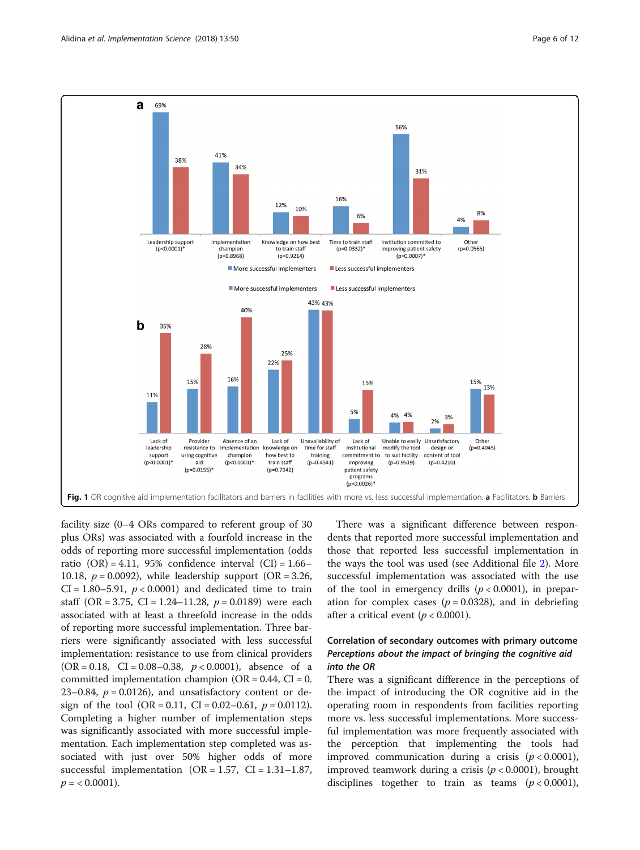

<span id="page-5-0"></span>

facility size (0–4 ORs compared to referent group of 30 plus ORs) was associated with a fourfold increase in the odds of reporting more successful implementation (odds ratio  $(OR) = 4.11$ , 95% confidence interval  $(Cl) = 1.66$ – 10.18,  $p = 0.0092$ ), while leadership support (OR = 3.26,  $CI = 1.80 - 5.91$ ,  $p < 0.0001$  and dedicated time to train staff (OR = 3.75, CI = 1.24–11.28,  $p = 0.0189$ ) were each associated with at least a threefold increase in the odds of reporting more successful implementation. Three barriers were significantly associated with less successful implementation: resistance to use from clinical providers (OR = 0.18, CI = 0.08–0.38,  $p < 0.0001$ ), absence of a committed implementation champion ( $OR = 0.44$ ,  $CI = 0$ . 23–0.84,  $p = 0.0126$ ), and unsatisfactory content or design of the tool  $(OR = 0.11, CI = 0.02-0.61, p = 0.0112)$ . Completing a higher number of implementation steps was significantly associated with more successful implementation. Each implementation step completed was associated with just over 50% higher odds of more successful implementation  $(OR = 1.57, CI = 1.31-1.87,$  $p = < 0.0001$ ).

There was a significant difference between respondents that reported more successful implementation and those that reported less successful implementation in the ways the tool was used (see Additional file [2](#page-10-0)). More successful implementation was associated with the use of the tool in emergency drills ( $p < 0.0001$ ), in preparation for complex cases ( $p = 0.0328$ ), and in debriefing after a critical event ( $p < 0.0001$ ).

# Correlation of secondary outcomes with primary outcome Perceptions about the impact of bringing the cognitive aid into the OR

There was a significant difference in the perceptions of the impact of introducing the OR cognitive aid in the operating room in respondents from facilities reporting more vs. less successful implementations. More successful implementation was more frequently associated with the perception that implementing the tools had improved communication during a crisis  $(p < 0.0001)$ , improved teamwork during a crisis ( $p < 0.0001$ ), brought disciplines together to train as teams  $(p < 0.0001)$ ,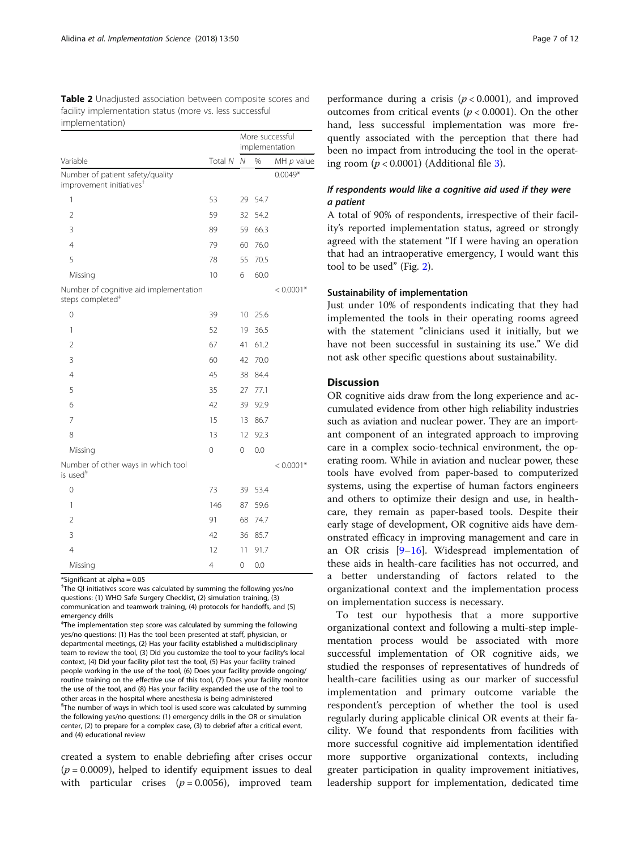<span id="page-6-0"></span>Table 2 Unadjusted association between composite scores and facility implementation status (more vs. less successful implementation)

|                                                                          |                | More successful<br>implementation |      |              |
|--------------------------------------------------------------------------|----------------|-----------------------------------|------|--------------|
| Variable                                                                 | Total N        | N                                 | $\%$ | MH $p$ value |
| Number of patient safety/quality<br>improvement initiatives <sup>†</sup> |                |                                   |      | $0.0049*$    |
| 1                                                                        | 53             | 29                                | 54.7 |              |
| $\overline{2}$                                                           | 59             | 32                                | 54.2 |              |
| 3                                                                        | 89             | 59                                | 66.3 |              |
| $\overline{4}$                                                           | 79             | 60                                | 76.0 |              |
| 5                                                                        | 78             | 55                                | 70.5 |              |
| Missing                                                                  | 10             | 6                                 | 60.0 |              |
| Number of cognitive aid implementation<br>steps completed <sup>#</sup>   |                |                                   |      | $< 0.0001*$  |
| $\overline{O}$                                                           | 39             | 10 <sup>°</sup>                   | 25.6 |              |
| 1                                                                        | 52             | 19                                | 36.5 |              |
| $\overline{2}$                                                           | 67             | 41                                | 61.2 |              |
| 3                                                                        | 60             | 42                                | 70.0 |              |
| $\overline{4}$                                                           | 45             | 38                                | 84.4 |              |
| 5                                                                        | 35             | 27                                | 77.1 |              |
| 6                                                                        | 42             | 39                                | 92.9 |              |
| 7                                                                        | 15             | 13                                | 86.7 |              |
| 8                                                                        | 13             | 12                                | 92.3 |              |
| Missing                                                                  | $\mathbf 0$    | $\mathbf 0$                       | 0.0  |              |
| Number of other ways in which tool<br>is used <sup>§</sup>               |                |                                   |      | $< 0.0001*$  |
| 0                                                                        | 73             | 39                                | 53.4 |              |
| 1                                                                        | 146            | 87                                | 59.6 |              |
| $\overline{2}$                                                           | 91             | 68                                | 74.7 |              |
| 3                                                                        | 42             | 36                                | 85.7 |              |
| 4                                                                        | 12             | 11                                | 91.7 |              |
| Missing                                                                  | $\overline{4}$ | 0                                 | 0.0  |              |

\*Significant at alpha = 0.05

† The QI initiatives score was calculated by summing the following yes/no questions: (1) WHO Safe Surgery Checklist, (2) simulation training, (3) communication and teamwork training, (4) protocols for handoffs, and (5) emergency drills

‡ The implementation step score was calculated by summing the following yes/no questions: (1) Has the tool been presented at staff, physician, or departmental meetings, (2) Has your facility established a multidisciplinary team to review the tool, (3) Did you customize the tool to your facility's local context, (4) Did your facility pilot test the tool, (5) Has your facility trained people working in the use of the tool, (6) Does your facility provide ongoing/ routine training on the effective use of this tool, (7) Does your facility monitor the use of the tool, and (8) Has your facility expanded the use of the tool to other areas in the hospital where anesthesia is being administered § The number of ways in which tool is used score was calculated by summing the following yes/no questions: (1) emergency drills in the OR or simulation center, (2) to prepare for a complex case, (3) to debrief after a critical event, and (4) educational review

created a system to enable debriefing after crises occur  $(p = 0.0009)$ , helped to identify equipment issues to deal with particular crises ( $p = 0.0056$ ), improved team

performance during a crisis  $(p < 0.0001)$ , and improved outcomes from critical events ( $p < 0.0001$ ). On the other hand, less successful implementation was more frequently associated with the perception that there had been no impact from introducing the tool in the operating room  $(p < 0.0001)$  (Additional file [3](#page-10-0)).

# If respondents would like a cognitive aid used if they were a patient

A total of 90% of respondents, irrespective of their facility's reported implementation status, agreed or strongly agreed with the statement "If I were having an operation that had an intraoperative emergency, I would want this tool to be used" (Fig. [2](#page-7-0)).

## Sustainability of implementation

Just under 10% of respondents indicating that they had implemented the tools in their operating rooms agreed with the statement "clinicians used it initially, but we have not been successful in sustaining its use." We did not ask other specific questions about sustainability.

## **Discussion**

OR cognitive aids draw from the long experience and accumulated evidence from other high reliability industries such as aviation and nuclear power. They are an important component of an integrated approach to improving care in a complex socio-technical environment, the operating room. While in aviation and nuclear power, these tools have evolved from paper-based to computerized systems, using the expertise of human factors engineers and others to optimize their design and use, in healthcare, they remain as paper-based tools. Despite their early stage of development, OR cognitive aids have demonstrated efficacy in improving management and care in an OR crisis [[9](#page-11-0)–[16](#page-11-0)]. Widespread implementation of these aids in health-care facilities has not occurred, and a better understanding of factors related to the organizational context and the implementation process on implementation success is necessary.

To test our hypothesis that a more supportive organizational context and following a multi-step implementation process would be associated with more successful implementation of OR cognitive aids, we studied the responses of representatives of hundreds of health-care facilities using as our marker of successful implementation and primary outcome variable the respondent's perception of whether the tool is used regularly during applicable clinical OR events at their facility. We found that respondents from facilities with more successful cognitive aid implementation identified more supportive organizational contexts, including greater participation in quality improvement initiatives, leadership support for implementation, dedicated time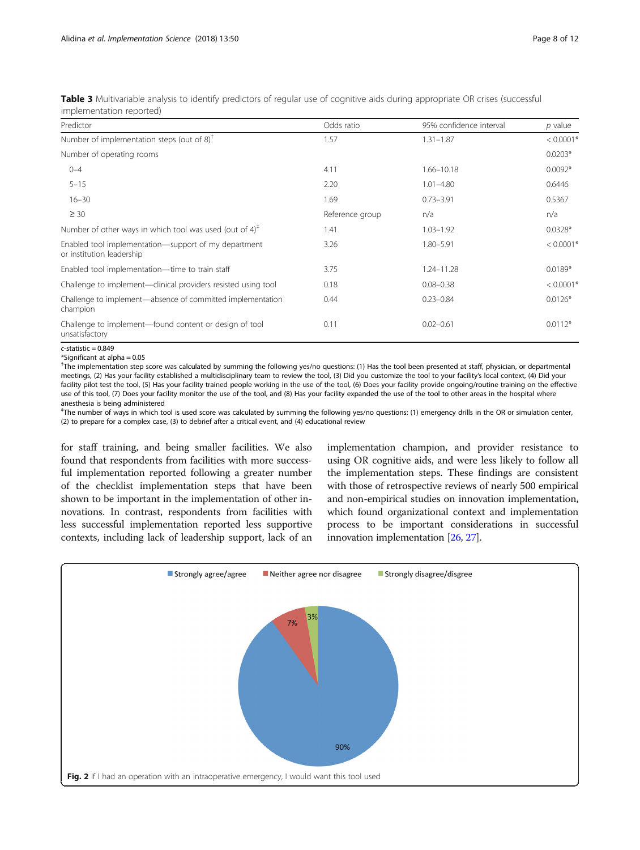<span id="page-7-0"></span>Table 3 Multivariable analysis to identify predictors of regular use of cognitive aids during appropriate OR crises (successful implementation reported)

| Predictor                                                                             | Odds ratio      | 95% confidence interval | $p$ value   |
|---------------------------------------------------------------------------------------|-----------------|-------------------------|-------------|
| Number of implementation steps (out of $8$ ) <sup>†</sup>                             | 1.57            | $1.31 - 1.87$           | $< 0.0001*$ |
| Number of operating rooms                                                             |                 |                         | $0.0203*$   |
| $0 - 4$                                                                               | 4.11            | 1.66-10.18              | $0.0092*$   |
| $5 - 15$                                                                              | 2.20            | $1.01 - 4.80$           | 0.6446      |
| $16 - 30$                                                                             | 1.69            | $0.73 - 3.91$           | 0.5367      |
| $\geq 30$                                                                             | Reference group | n/a                     | n/a         |
| Number of other ways in which tool was used (out of $4$ ) <sup><math>\pm</math></sup> | 1.41            | $1.03 - 1.92$           | $0.0328*$   |
| Enabled tool implementation—support of my department<br>or institution leadership     | 3.26            | 1.80-5.91               | $< 0.0001*$ |
| Enabled tool implementation—time to train staff                                       | 3.75            | 1.24-11.28              | $0.0189*$   |
| Challenge to implement—clinical providers resisted using tool                         | 0.18            | $0.08 - 0.38$           | $< 0.0001*$ |
| Challenge to implement—absence of committed implementation<br>champion                | 0.44            | $0.23 - 0.84$           | $0.0126*$   |
| Challenge to implement—found content or design of tool<br>unsatisfactory              | 0.11            | $0.02 - 0.61$           | $0.0112*$   |

 $c$ -statistic = 0.849

\*Significant at alpha = 0.05

† The implementation step score was calculated by summing the following yes/no questions: (1) Has the tool been presented at staff, physician, or departmental meetings, (2) Has your facility established a multidisciplinary team to review the tool, (3) Did you customize the tool to your facility's local context, (4) Did your facility pilot test the tool, (5) Has your facility trained people working in the use of the tool, (6) Does your facility provide ongoing/routine training on the effective use of this tool, (7) Does your facility monitor the use of the tool, and (8) Has your facility expanded the use of the tool to other areas in the hospital where anesthesia is being administered

‡ The number of ways in which tool is used score was calculated by summing the following yes/no questions: (1) emergency drills in the OR or simulation center, (2) to prepare for a complex case, (3) to debrief after a critical event, and (4) educational review

for staff training, and being smaller facilities. We also found that respondents from facilities with more successful implementation reported following a greater number of the checklist implementation steps that have been shown to be important in the implementation of other innovations. In contrast, respondents from facilities with less successful implementation reported less supportive contexts, including lack of leadership support, lack of an

implementation champion, and provider resistance to using OR cognitive aids, and were less likely to follow all the implementation steps. These findings are consistent with those of retrospective reviews of nearly 500 empirical and non-empirical studies on innovation implementation, which found organizational context and implementation process to be important considerations in successful innovation implementation [\[26,](#page-11-0) [27](#page-11-0)].

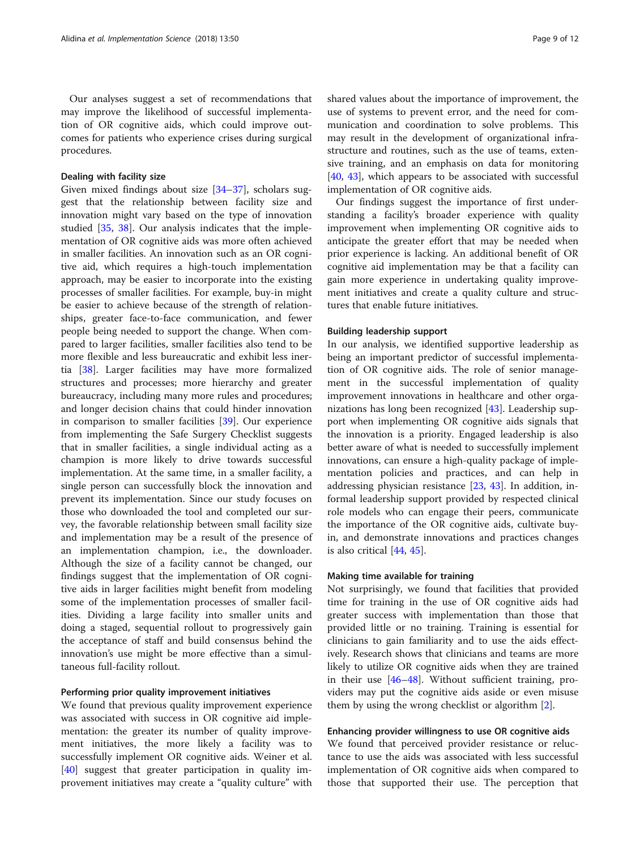Our analyses suggest a set of recommendations that may improve the likelihood of successful implementation of OR cognitive aids, which could improve outcomes for patients who experience crises during surgical procedures.

#### Dealing with facility size

Given mixed findings about size [[34](#page-11-0)–[37](#page-11-0)], scholars suggest that the relationship between facility size and innovation might vary based on the type of innovation studied [[35,](#page-11-0) [38\]](#page-11-0). Our analysis indicates that the implementation of OR cognitive aids was more often achieved in smaller facilities. An innovation such as an OR cognitive aid, which requires a high-touch implementation approach, may be easier to incorporate into the existing processes of smaller facilities. For example, buy-in might be easier to achieve because of the strength of relationships, greater face-to-face communication, and fewer people being needed to support the change. When compared to larger facilities, smaller facilities also tend to be more flexible and less bureaucratic and exhibit less inertia [\[38](#page-11-0)]. Larger facilities may have more formalized structures and processes; more hierarchy and greater bureaucracy, including many more rules and procedures; and longer decision chains that could hinder innovation in comparison to smaller facilities [[39\]](#page-11-0). Our experience from implementing the Safe Surgery Checklist suggests that in smaller facilities, a single individual acting as a champion is more likely to drive towards successful implementation. At the same time, in a smaller facility, a single person can successfully block the innovation and prevent its implementation. Since our study focuses on those who downloaded the tool and completed our survey, the favorable relationship between small facility size and implementation may be a result of the presence of an implementation champion, i.e., the downloader. Although the size of a facility cannot be changed, our findings suggest that the implementation of OR cognitive aids in larger facilities might benefit from modeling some of the implementation processes of smaller facilities. Dividing a large facility into smaller units and doing a staged, sequential rollout to progressively gain the acceptance of staff and build consensus behind the innovation's use might be more effective than a simultaneous full-facility rollout.

#### Performing prior quality improvement initiatives

We found that previous quality improvement experience was associated with success in OR cognitive aid implementation: the greater its number of quality improvement initiatives, the more likely a facility was to successfully implement OR cognitive aids. Weiner et al. [[40\]](#page-11-0) suggest that greater participation in quality improvement initiatives may create a "quality culture" with shared values about the importance of improvement, the use of systems to prevent error, and the need for communication and coordination to solve problems. This may result in the development of organizational infrastructure and routines, such as the use of teams, extensive training, and an emphasis on data for monitoring [[40,](#page-11-0) [43](#page-11-0)], which appears to be associated with successful implementation of OR cognitive aids.

Our findings suggest the importance of first understanding a facility's broader experience with quality improvement when implementing OR cognitive aids to anticipate the greater effort that may be needed when prior experience is lacking. An additional benefit of OR cognitive aid implementation may be that a facility can gain more experience in undertaking quality improvement initiatives and create a quality culture and structures that enable future initiatives.

#### Building leadership support

In our analysis, we identified supportive leadership as being an important predictor of successful implementation of OR cognitive aids. The role of senior management in the successful implementation of quality improvement innovations in healthcare and other organizations has long been recognized [[43\]](#page-11-0). Leadership support when implementing OR cognitive aids signals that the innovation is a priority. Engaged leadership is also better aware of what is needed to successfully implement innovations, can ensure a high-quality package of implementation policies and practices, and can help in addressing physician resistance [\[23](#page-11-0), [43\]](#page-11-0). In addition, informal leadership support provided by respected clinical role models who can engage their peers, communicate the importance of the OR cognitive aids, cultivate buyin, and demonstrate innovations and practices changes is also critical [[44](#page-11-0), [45](#page-11-0)].

#### Making time available for training

Not surprisingly, we found that facilities that provided time for training in the use of OR cognitive aids had greater success with implementation than those that provided little or no training. Training is essential for clinicians to gain familiarity and to use the aids effectively. Research shows that clinicians and teams are more likely to utilize OR cognitive aids when they are trained in their use [[46](#page-11-0)–[48](#page-11-0)]. Without sufficient training, providers may put the cognitive aids aside or even misuse them by using the wrong checklist or algorithm [\[2](#page-11-0)].

# Enhancing provider willingness to use OR cognitive aids

We found that perceived provider resistance or reluctance to use the aids was associated with less successful implementation of OR cognitive aids when compared to those that supported their use. The perception that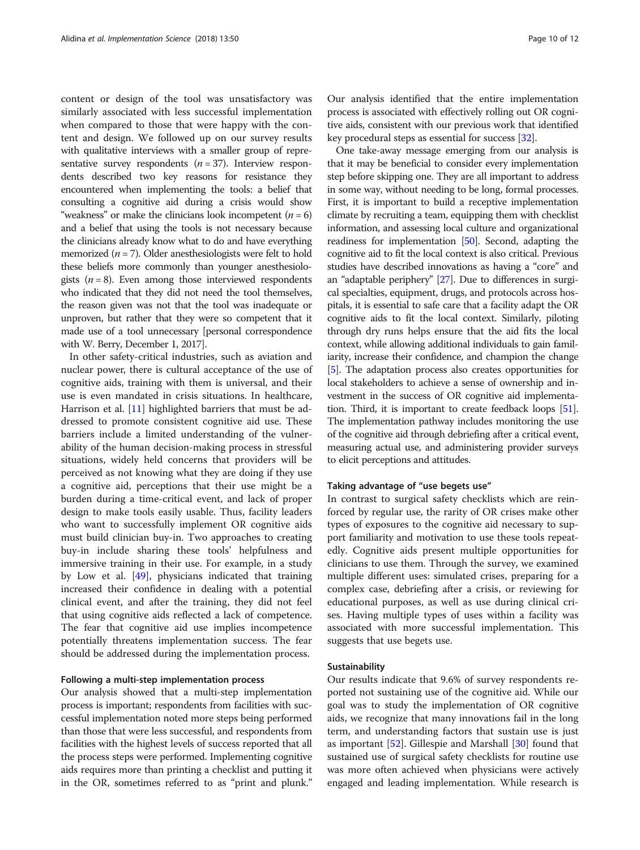content or design of the tool was unsatisfactory was similarly associated with less successful implementation when compared to those that were happy with the content and design. We followed up on our survey results with qualitative interviews with a smaller group of representative survey respondents  $(n = 37)$ . Interview respondents described two key reasons for resistance they encountered when implementing the tools: a belief that consulting a cognitive aid during a crisis would show "weakness" or make the clinicians look incompetent ( $n = 6$ ) and a belief that using the tools is not necessary because the clinicians already know what to do and have everything memorized  $(n = 7)$ . Older anesthesiologists were felt to hold these beliefs more commonly than younger anesthesiologists  $(n = 8)$ . Even among those interviewed respondents who indicated that they did not need the tool themselves, the reason given was not that the tool was inadequate or unproven, but rather that they were so competent that it made use of a tool unnecessary [personal correspondence with W. Berry, December 1, 2017].

In other safety-critical industries, such as aviation and nuclear power, there is cultural acceptance of the use of cognitive aids, training with them is universal, and their use is even mandated in crisis situations. In healthcare, Harrison et al. [\[11](#page-11-0)] highlighted barriers that must be addressed to promote consistent cognitive aid use. These barriers include a limited understanding of the vulnerability of the human decision-making process in stressful situations, widely held concerns that providers will be perceived as not knowing what they are doing if they use a cognitive aid, perceptions that their use might be a burden during a time-critical event, and lack of proper design to make tools easily usable. Thus, facility leaders who want to successfully implement OR cognitive aids must build clinician buy-in. Two approaches to creating buy-in include sharing these tools' helpfulness and immersive training in their use. For example, in a study by Low et al. [[49\]](#page-11-0), physicians indicated that training increased their confidence in dealing with a potential clinical event, and after the training, they did not feel that using cognitive aids reflected a lack of competence. The fear that cognitive aid use implies incompetence potentially threatens implementation success. The fear should be addressed during the implementation process.

#### Following a multi-step implementation process

Our analysis showed that a multi-step implementation process is important; respondents from facilities with successful implementation noted more steps being performed than those that were less successful, and respondents from facilities with the highest levels of success reported that all the process steps were performed. Implementing cognitive aids requires more than printing a checklist and putting it in the OR, sometimes referred to as "print and plunk."

Our analysis identified that the entire implementation process is associated with effectively rolling out OR cognitive aids, consistent with our previous work that identified key procedural steps as essential for success [\[32\]](#page-11-0).

One take-away message emerging from our analysis is that it may be beneficial to consider every implementation step before skipping one. They are all important to address in some way, without needing to be long, formal processes. First, it is important to build a receptive implementation climate by recruiting a team, equipping them with checklist information, and assessing local culture and organizational readiness for implementation [\[50\]](#page-11-0). Second, adapting the cognitive aid to fit the local context is also critical. Previous studies have described innovations as having a "core" and an "adaptable periphery" [\[27](#page-11-0)]. Due to differences in surgical specialties, equipment, drugs, and protocols across hospitals, it is essential to safe care that a facility adapt the OR cognitive aids to fit the local context. Similarly, piloting through dry runs helps ensure that the aid fits the local context, while allowing additional individuals to gain familiarity, increase their confidence, and champion the change [[5](#page-11-0)]. The adaptation process also creates opportunities for local stakeholders to achieve a sense of ownership and investment in the success of OR cognitive aid implementation. Third, it is important to create feedback loops [[51](#page-11-0)]. The implementation pathway includes monitoring the use of the cognitive aid through debriefing after a critical event, measuring actual use, and administering provider surveys to elicit perceptions and attitudes.

#### Taking advantage of "use begets use"

In contrast to surgical safety checklists which are reinforced by regular use, the rarity of OR crises make other types of exposures to the cognitive aid necessary to support familiarity and motivation to use these tools repeatedly. Cognitive aids present multiple opportunities for clinicians to use them. Through the survey, we examined multiple different uses: simulated crises, preparing for a complex case, debriefing after a crisis, or reviewing for educational purposes, as well as use during clinical crises. Having multiple types of uses within a facility was associated with more successful implementation. This suggests that use begets use.

#### Sustainability

Our results indicate that 9.6% of survey respondents reported not sustaining use of the cognitive aid. While our goal was to study the implementation of OR cognitive aids, we recognize that many innovations fail in the long term, and understanding factors that sustain use is just as important [\[52\]](#page-11-0). Gillespie and Marshall [[30](#page-11-0)] found that sustained use of surgical safety checklists for routine use was more often achieved when physicians were actively engaged and leading implementation. While research is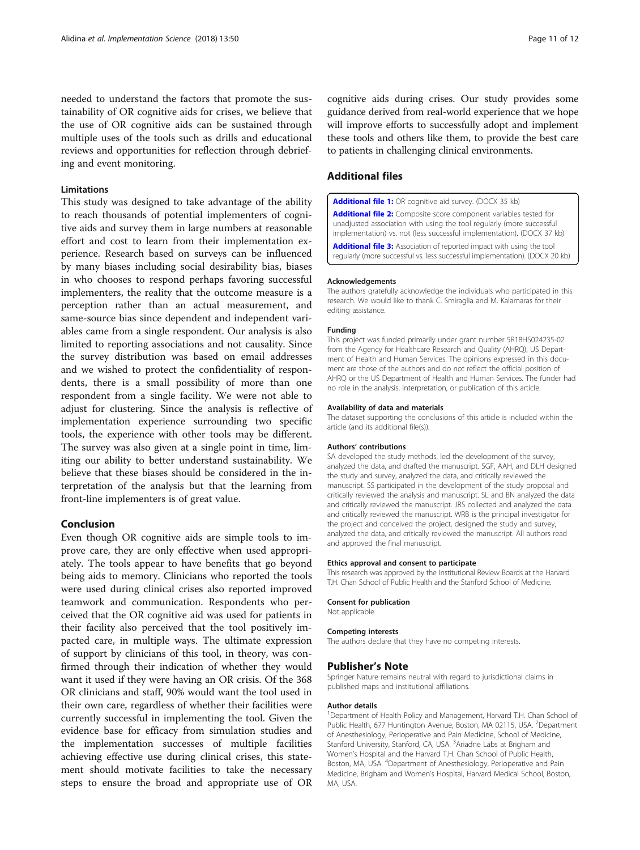<span id="page-10-0"></span>needed to understand the factors that promote the sustainability of OR cognitive aids for crises, we believe that the use of OR cognitive aids can be sustained through multiple uses of the tools such as drills and educational reviews and opportunities for reflection through debriefing and event monitoring.

#### Limitations

This study was designed to take advantage of the ability to reach thousands of potential implementers of cognitive aids and survey them in large numbers at reasonable effort and cost to learn from their implementation experience. Research based on surveys can be influenced by many biases including social desirability bias, biases in who chooses to respond perhaps favoring successful implementers, the reality that the outcome measure is a perception rather than an actual measurement, and same-source bias since dependent and independent variables came from a single respondent. Our analysis is also limited to reporting associations and not causality. Since the survey distribution was based on email addresses and we wished to protect the confidentiality of respondents, there is a small possibility of more than one respondent from a single facility. We were not able to adjust for clustering. Since the analysis is reflective of implementation experience surrounding two specific tools, the experience with other tools may be different. The survey was also given at a single point in time, limiting our ability to better understand sustainability. We believe that these biases should be considered in the interpretation of the analysis but that the learning from front-line implementers is of great value.

# Conclusion

Even though OR cognitive aids are simple tools to improve care, they are only effective when used appropriately. The tools appear to have benefits that go beyond being aids to memory. Clinicians who reported the tools were used during clinical crises also reported improved teamwork and communication. Respondents who perceived that the OR cognitive aid was used for patients in their facility also perceived that the tool positively impacted care, in multiple ways. The ultimate expression of support by clinicians of this tool, in theory, was confirmed through their indication of whether they would want it used if they were having an OR crisis. Of the 368 OR clinicians and staff, 90% would want the tool used in their own care, regardless of whether their facilities were currently successful in implementing the tool. Given the evidence base for efficacy from simulation studies and the implementation successes of multiple facilities achieving effective use during clinical crises, this statement should motivate facilities to take the necessary steps to ensure the broad and appropriate use of OR

cognitive aids during crises. Our study provides some guidance derived from real-world experience that we hope will improve efforts to successfully adopt and implement these tools and others like them, to provide the best care to patients in challenging clinical environments.

# Additional files

[Additional file 1:](https://doi.org/10.1186/s13012-018-0739-4) OR cognitive aid survey. (DOCX 35 kb)

[Additional file 2:](https://doi.org/10.1186/s13012-018-0739-4) Composite score component variables tested for unadjusted association with using the tool regularly (more successful implementation) vs. not (less successful implementation). (DOCX 37 kb)

[Additional file 3:](https://doi.org/10.1186/s13012-018-0739-4) Association of reported impact with using the tool regularly (more successful vs. less successful implementation). (DOCX 20 kb)

#### Acknowledgements

The authors gratefully acknowledge the individuals who participated in this research. We would like to thank C. Smiraglia and M. Kalamaras for their editing assistance.

#### Funding

This project was funded primarily under grant number 5R18HS024235-02 from the Agency for Healthcare Research and Quality (AHRQ), US Department of Health and Human Services. The opinions expressed in this document are those of the authors and do not reflect the official position of AHRQ or the US Department of Health and Human Services. The funder had no role in the analysis, interpretation, or publication of this article.

#### Availability of data and materials

The dataset supporting the conclusions of this article is included within the article (and its additional file(s)).

#### Authors' contributions

SA developed the study methods, led the development of the survey, analyzed the data, and drafted the manuscript. SGF, AAH, and DLH designed the study and survey, analyzed the data, and critically reviewed the manuscript. SS participated in the development of the study proposal and critically reviewed the analysis and manuscript. SL and BN analyzed the data and critically reviewed the manuscript. JRS collected and analyzed the data and critically reviewed the manuscript. WRB is the principal investigator for the project and conceived the project, designed the study and survey, analyzed the data, and critically reviewed the manuscript. All authors read and approved the final manuscript.

#### Ethics approval and consent to participate

This research was approved by the Institutional Review Boards at the Harvard T.H. Chan School of Public Health and the Stanford School of Medicine.

#### Consent for publication

Not applicable.

#### Competing interests

The authors declare that they have no competing interests.

#### Publisher's Note

Springer Nature remains neutral with regard to jurisdictional claims in published maps and institutional affiliations.

#### Author details

<sup>1</sup>Department of Health Policy and Management, Harvard T.H. Chan School of Public Health, 677 Huntington Avenue, Boston, MA 02115, USA. <sup>2</sup>Department of Anesthesiology, Perioperative and Pain Medicine, School of Medicine, Stanford University, Stanford, CA, USA. <sup>3</sup>Ariadne Labs at Brigham and Women's Hospital and the Harvard T.H. Chan School of Public Health, Boston, MA, USA. <sup>4</sup>Department of Anesthesiology, Perioperative and Pain Medicine, Brigham and Women's Hospital, Harvard Medical School, Boston, MA, USA.